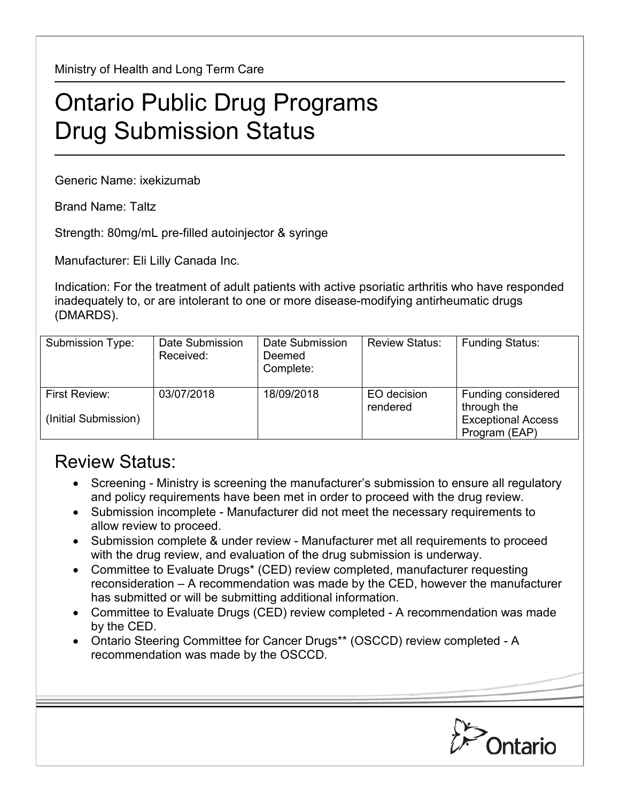Ministry of Health and Long Term Care

## Ontario Public Drug Programs Drug Submission Status

Generic Name: ixekizumab

Brand Name: Taltz

Strength: 80mg/mL pre-filled autoinjector & syringe

Manufacturer: Eli Lilly Canada Inc.

Indication: For the treatment of adult patients with active psoriatic arthritis who have responded inadequately to, or are intolerant to one or more disease-modifying antirheumatic drugs (DMARDS).

| Submission Type:                      | Date Submission<br>Received: | Date Submission<br>Deemed<br>Complete: | <b>Review Status:</b>   | <b>Funding Status:</b>                                                          |
|---------------------------------------|------------------------------|----------------------------------------|-------------------------|---------------------------------------------------------------------------------|
| First Review:<br>(Initial Submission) | 03/07/2018                   | 18/09/2018                             | EO decision<br>rendered | Funding considered<br>through the<br><b>Exceptional Access</b><br>Program (EAP) |

## Review Status:

- Screening Ministry is screening the manufacturer's submission to ensure all regulatory and policy requirements have been met in order to proceed with the drug review.
- Submission incomplete Manufacturer did not meet the necessary requirements to allow review to proceed.
- Submission complete & under review Manufacturer met all requirements to proceed with the drug review, and evaluation of the drug submission is underway.
- Committee to Evaluate Drugs\* (CED) review completed, manufacturer requesting reconsideration – A recommendation was made by the CED, however the manufacturer has submitted or will be submitting additional information.
- Committee to Evaluate Drugs (CED) review completed A recommendation was made by the CED.
- Ontario Steering Committee for Cancer Drugs\*\* (OSCCD) review completed A recommendation was made by the OSCCD.